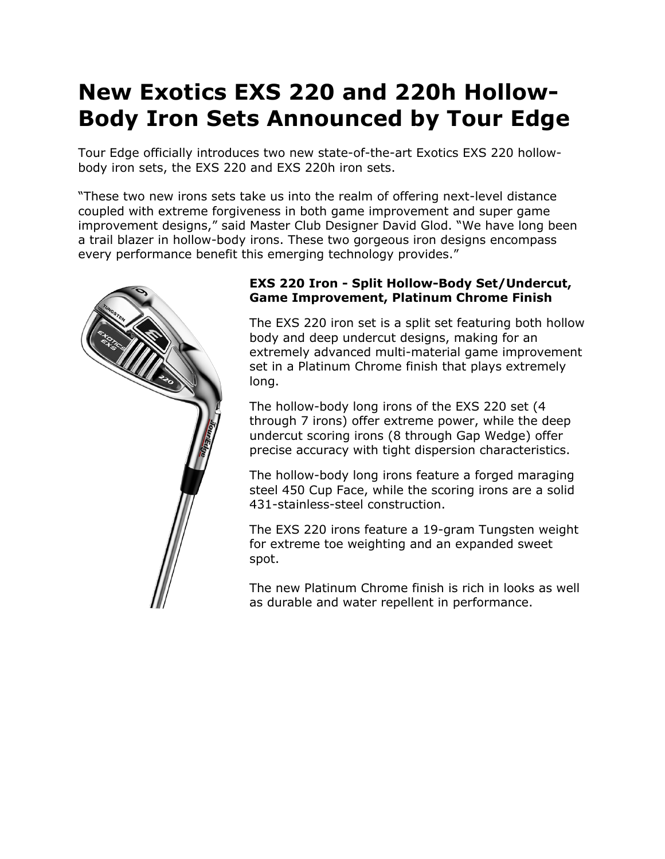# **New Exotics EXS 220 and 220h Hollow-Body Iron Sets Announced by Tour Edge**

Tour Edge officially introduces two new state-of-the-art Exotics EXS 220 hollowbody iron sets, the EXS 220 and EXS 220h iron sets.

"These two new irons sets take us into the realm of offering next-level distance coupled with extreme forgiveness in both game improvement and super game improvement designs," said Master Club Designer David Glod. "We have long been a trail blazer in hollow-body irons. These two gorgeous iron designs encompass every performance benefit this emerging technology provides."



# **EXS 220 Iron - Split Hollow-Body Set/Undercut, Game Improvement, Platinum Chrome Finish**

The EXS 220 iron set is a split set featuring both hollow body and deep undercut designs, making for an extremely advanced multi-material game improvement set in a Platinum Chrome finish that plays extremely long.

The hollow-body long irons of the EXS 220 set (4 through 7 irons) offer extreme power, while the deep undercut scoring irons (8 through Gap Wedge) offer precise accuracy with tight dispersion characteristics.

The hollow-body long irons feature a forged maraging steel 450 Cup Face, while the scoring irons are a solid 431-stainless-steel construction.

The EXS 220 irons feature a 19-gram Tungsten weight for extreme toe weighting and an expanded sweet spot.

The new Platinum Chrome finish is rich in looks as well as durable and water repellent in performance.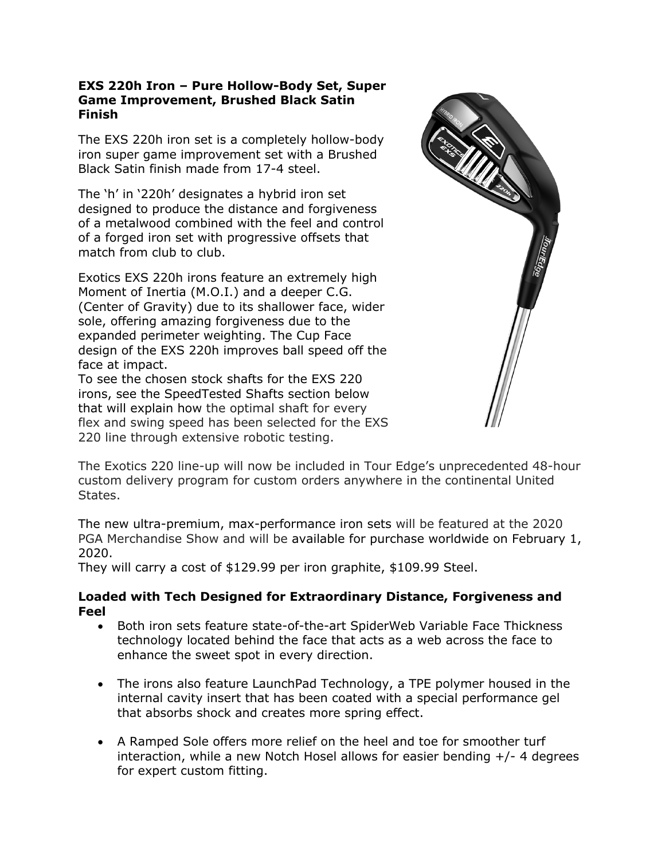# **EXS 220h Iron – Pure Hollow-Body Set, Super Game Improvement, Brushed Black Satin Finish**

The EXS 220h iron set is a completely hollow-body iron super game improvement set with a Brushed Black Satin finish made from 17-4 steel.

The 'h' in '220h' designates a hybrid iron set designed to produce the distance and forgiveness of a metalwood combined with the feel and control of a forged iron set with progressive offsets that match from club to club.

Exotics EXS 220h irons feature an extremely high Moment of Inertia (M.O.I.) and a deeper C.G. (Center of Gravity) due to its shallower face, wider sole, offering amazing forgiveness due to the expanded perimeter weighting. The Cup Face design of the EXS 220h improves ball speed off the face at impact.

To see the chosen stock shafts for the EXS 220 irons, see the SpeedTested Shafts section below that will explain how the optimal shaft for every flex and swing speed has been selected for the EXS 220 line through extensive robotic testing.



The Exotics 220 line-up will now be included in Tour Edge's unprecedented 48-hour custom delivery program for custom orders anywhere in the continental United States.

The new ultra-premium, max-performance iron sets will be featured at the 2020 PGA Merchandise Show and will be available for purchase worldwide on February 1, 2020.

They will carry a cost of \$129.99 per iron graphite, \$109.99 Steel.

# **Loaded with Tech Designed for Extraordinary Distance, Forgiveness and Feel**

- Both iron sets feature state-of-the-art SpiderWeb Variable Face Thickness technology located behind the face that acts as a web across the face to enhance the sweet spot in every direction.
- The irons also feature LaunchPad Technology, a TPE polymer housed in the internal cavity insert that has been coated with a special performance gel that absorbs shock and creates more spring effect.
- A Ramped Sole offers more relief on the heel and toe for smoother turf interaction, while a new Notch Hosel allows for easier bending +/- 4 degrees for expert custom fitting.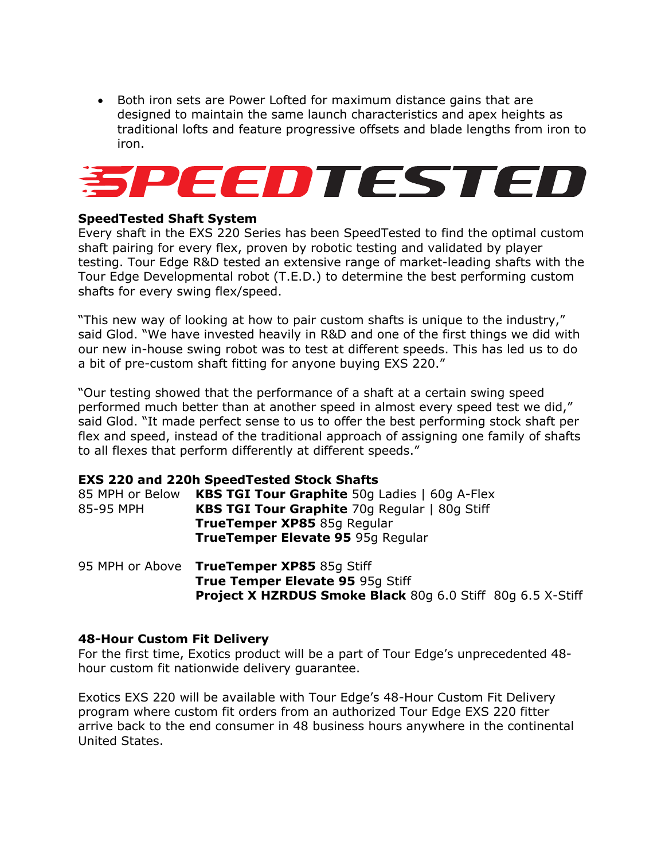• Both iron sets are Power Lofted for maximum distance gains that are designed to maintain the same launch characteristics and apex heights as traditional lofts and feature progressive offsets and blade lengths from iron to iron.



# **SpeedTested Shaft System**

Every shaft in the EXS 220 Series has been SpeedTested to find the optimal custom shaft pairing for every flex, proven by robotic testing and validated by player testing. Tour Edge R&D tested an extensive range of market-leading shafts with the Tour Edge Developmental robot (T.E.D.) to determine the best performing custom shafts for every swing flex/speed.

"This new way of looking at how to pair custom shafts is unique to the industry," said Glod. "We have invested heavily in R&D and one of the first things we did with our new in-house swing robot was to test at different speeds. This has led us to do a bit of pre-custom shaft fitting for anyone buying EXS 220."

"Our testing showed that the performance of a shaft at a certain swing speed performed much better than at another speed in almost every speed test we did," said Glod. "It made perfect sense to us to offer the best performing stock shaft per flex and speed, instead of the traditional approach of assigning one family of shafts to all flexes that perform differently at different speeds."

#### **EXS 220 and 220h SpeedTested Stock Shafts**

| 85 MPH or Below | <b>KBS TGI Tour Graphite</b> 50g Ladies   60g A-Flex |
|-----------------|------------------------------------------------------|
| 85-95 MPH       | <b>KBS TGI Tour Graphite</b> 70g Regular   80g Stiff |
|                 | <b>TrueTemper XP85</b> 85g Regular                   |
|                 | TrueTemper Elevate 95 95g Regular                    |
|                 |                                                      |

95 MPH or Above **TrueTemper XP85** 85g Stiff **True Temper Elevate 95** 95g Stiff **Project X HZRDUS Smoke Black** 80g 6.0 Stiff 80g 6.5 X-Stiff

#### **48-Hour Custom Fit Delivery**

For the first time, Exotics product will be a part of Tour Edge's unprecedented 48 hour custom fit nationwide delivery guarantee.

Exotics EXS 220 will be available with Tour Edge's 48-Hour Custom Fit Delivery program where custom fit orders from an authorized Tour Edge EXS 220 fitter arrive back to the end consumer in 48 business hours anywhere in the continental United States.